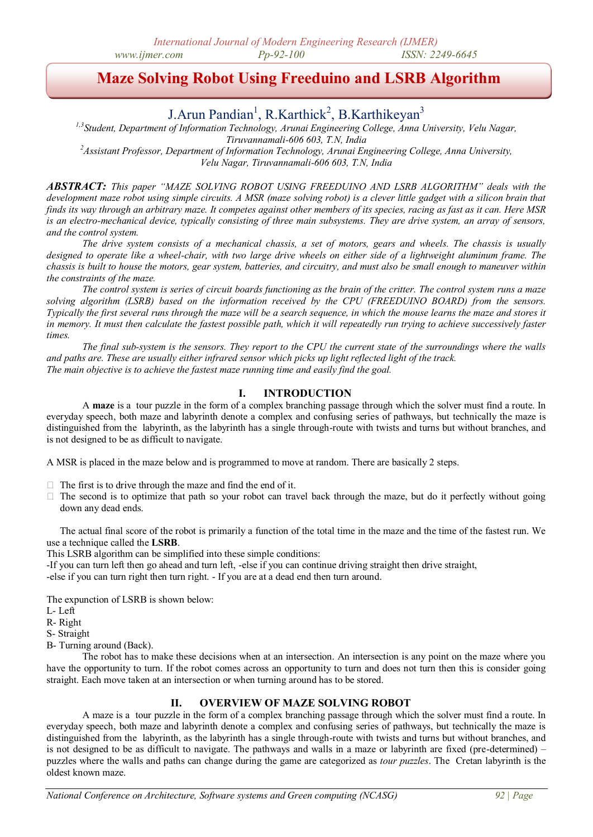# **Maze Solving Robot Using Freeduino and LSRB Algorithm**

## J. Arun Pandian<sup>1</sup>, R. Karthick<sup>2</sup>, B. Karthikeyan<sup>3</sup>

*1,3Student, Department of Information Technology, Arunai Engineering College, Anna University, Velu Nagar, Tiruvannamali-606 603, T.N, India*

*<sup>2</sup>Assistant Professor, Department of Information Technology, Arunai Engineering College, Anna University, Velu Nagar, Tiruvannamali-606 603, T.N, India*

*ABSTRACT: This paper "MAZE SOLVING ROBOT USING FREEDUINO AND LSRB ALGORITHM" deals with the development maze robot using simple circuits. A MSR (maze solving robot) is a clever little gadget with a silicon brain that finds its way through an arbitrary maze. It competes against other members of its species, racing as fast as it can. Here MSR is an electro-mechanical device, typically consisting of three main subsystems. They are drive system, an array of sensors, and the control system.*

*The drive system consists of a mechanical chassis, a set of motors, gears and wheels. The chassis is usually designed to operate like a wheel-chair, with two large drive wheels on either side of a lightweight aluminum frame. The chassis is built to house the motors, gear system, batteries, and circuitry, and must also be small enough to maneuver within the constraints of the maze.*

*The control system is series of circuit boards functioning as the brain of the critter. The control system runs a maze solving algorithm (LSRB) based on the information received by the CPU (FREEDUINO BOARD) from the sensors. Typically the first several runs through the maze will be a search sequence, in which the mouse learns the maze and stores it in memory. It must then calculate the fastest possible path, which it will repeatedly run trying to achieve successively faster times.*

*The final sub-system is the sensors. They report to the CPU the current state of the surroundings where the walls and paths are. These are usually either infrared sensor which picks up light reflected light of the track. The main objective is to achieve the fastest maze running time and easily find the goal.*

## **I. INTRODUCTION**

A **maze** is a [tour puzzle](http://en.wikipedia.org/wiki/Tour_puzzle) in the form of a complex branching passage through which the solver must find a route. In everyday speech, both maze and labyrinth denote a complex and confusing series of pathways, but technically the maze is distinguished from the [labyrinth,](http://en.wikipedia.org/wiki/Labyrinth) as the labyrinth has a single through-route with twists and turns but without branches, and is not designed to be as difficult to navigate.

A MSR is placed in the maze below and is programmed to move at random. There are basically 2 steps.

- $\Box$  The first is to drive through the maze and find the end of it.
- $\Box$  The second is to optimize that path so your robot can travel back through the maze, but do it perfectly without going down any dead ends.

The actual final score of the robot is primarily a function of the total time in the maze and the time of the fastest run. We use a technique called the **LSRB**.

This LSRB algorithm can be simplified into these simple conditions:

-If you can turn left then go ahead and turn left, -else if you can continue driving straight then drive straight,

-else if you can turn right then turn right. - If you are at a dead end then turn around.

The expunction of LSRB is shown below:

L- Left

R- Right

S- Straight

B- Turning around (Back).

The robot has to make these decisions when at an intersection. An intersection is any point on the maze where you have the opportunity to turn. If the robot comes across an opportunity to turn and does not turn then this is consider going straight. Each move taken at an intersection or when turning around has to be stored.

## **II. OVERVIEW OF MAZE SOLVING ROBOT**

A maze is a [tour puzzle](http://en.wikipedia.org/wiki/Tour_puzzle) in the form of a complex branching passage through which the solver must find a route. In everyday speech, both maze and labyrinth denote a complex and confusing series of pathways, but technically the maze is distinguished from the [labyrinth,](http://en.wikipedia.org/wiki/Labyrinth) as the labyrinth has a single through-route with twists and turns but without branches, and is not designed to be as difficult to navigate. The pathways and walls in a maze or labyrinth are fixed (pre-determined) – puzzles where the walls and paths can change during the game are categorized as *tour puzzles*. The [Cretan labyrinth](http://en.wikipedia.org/wiki/Labyrinth#Cretan_labyrinth_at_Knossos) is the oldest known maze.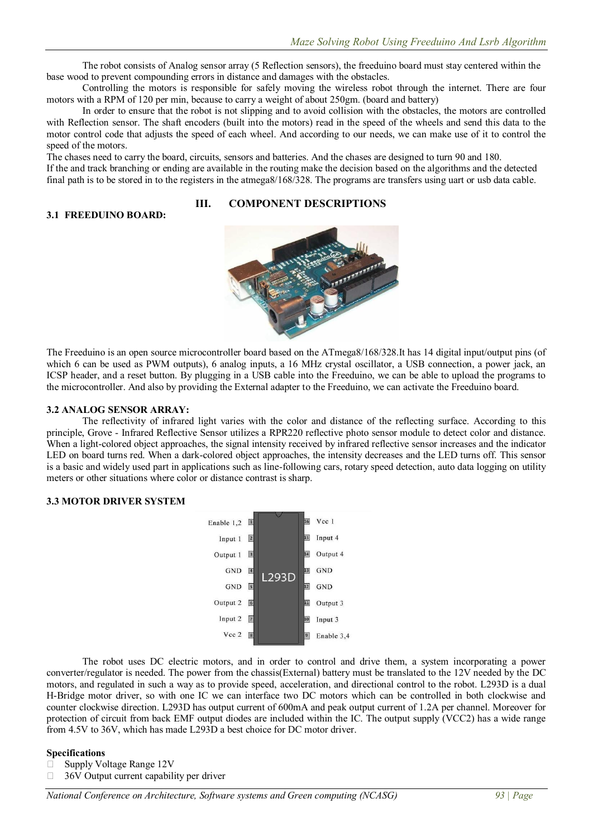The robot consists of Analog sensor array (5 Reflection sensors), the freeduino board must stay centered within the base wood to prevent compounding errors in distance and damages with the obstacles.

Controlling the motors is responsible for safely moving the wireless robot through the internet. There are four motors with a RPM of 120 per min, because to carry a weight of about 250gm. (board and battery)

In order to ensure that the robot is not slipping and to avoid collision with the obstacles, the motors are controlled with Reflection sensor. The shaft encoders (built into the motors) read in the speed of the wheels and send this data to the motor control code that adjusts the speed of each wheel. And according to our needs, we can make use of it to control the speed of the motors.

The chases need to carry the board, circuits, sensors and batteries. And the chases are designed to turn 90 and 180. If the and track branching or ending are available in the routing make the decision based on the algorithms and the detected final path is to be stored in to the registers in the atmega8/168/328. The programs are transfers using uart or usb data cable.

## **III. COMPONENT DESCRIPTIONS**



The Freeduino is an open source microcontroller board based on the ATmega8/168/328.It has 14 digital input/output pins (of which 6 can be used as PWM outputs), 6 analog inputs, a 16 MHz crystal oscillator, a USB connection, a power jack, an ICSP header, and a reset button. By plugging in a USB cable into the Freeduino, we can be able to upload the programs to the microcontroller. And also by providing the External adapter to the Freeduino, we can activate the Freeduino board.

#### **3.2 ANALOG SENSOR ARRAY:**

**3.1 FREEDUINO BOARD:** 

The reflectivity of infrared light varies with the color and distance of the reflecting surface. According to this principle, Grove - Infrared Reflective Sensor utilizes a RPR220 reflective photo sensor module to detect color and distance. When a light-colored object approaches, the signal intensity received by infrared reflective sensor increases and the indicator LED on board turns red. When a dark-colored object approaches, the intensity decreases and the LED turns off. This sensor is a basic and widely used part in applications such as line-following cars, rotary speed detection, auto data logging on utility meters or other situations where color or distance contrast is sharp.

#### **3.3 MOTOR DRIVER SYSTEM**



The robot uses DC electric motors, and in order to control and drive them, a system incorporating a power converter/regulator is needed. The power from the chassis(External) battery must be translated to the 12V needed by the DC motors, and regulated in such a way as to provide speed, acceleration, and directional control to the robot. L293D is a dual H-Bridge motor driver, so with one IC we can interface two DC motors which can be controlled in both clockwise and counter clockwise direction. L293D has output current of 600mA and peak output current of 1.2A per channel. Moreover for protection of circuit from back EMF output diodes are included within the IC. The output supply (VCC2) has a wide range from 4.5V to 36V, which has made L293D a best choice for DC motor driver.

#### **Specifications**

- $\Box$  Supply Voltage Range 12V
- $\Box$  36V Output current capability per driver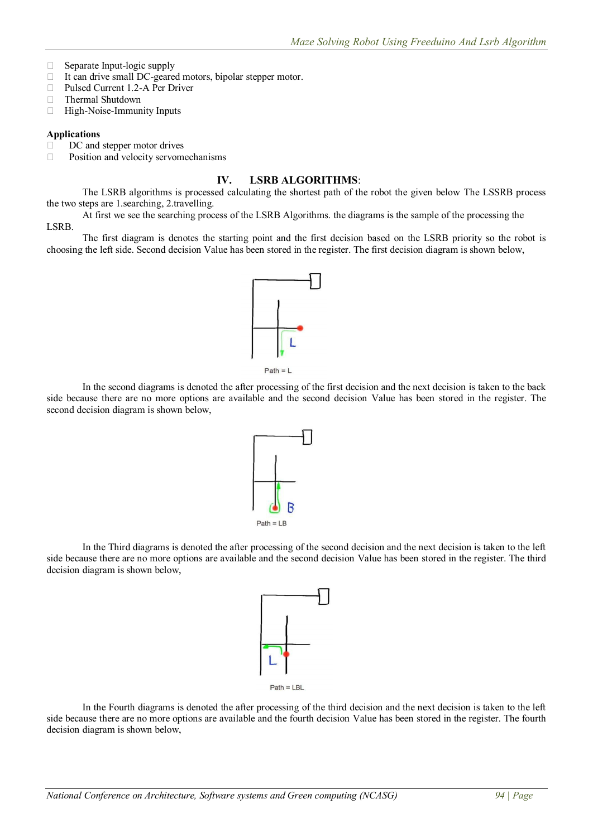- $\Box$  Separate Input-logic supply
- □ It can drive small DC-geared motors, bipolar stepper motor.
- □ Pulsed Current 1.2-A Per Driver
- **Thermal Shutdown**
- $\Box$  High-Noise-Immunity Inputs

#### **Applications**

DC and stepper motor drives

□ Position and velocity servomechanisms

## **IV. LSRB ALGORITHMS**:

The LSRB algorithms is processed calculating the shortest path of the robot the given below The LSSRB process the two steps are 1.searching, 2.travelling.

At first we see the searching process of the LSRB Algorithms. the diagrams is the sample of the processing the LSRB.

The first diagram is denotes the starting point and the first decision based on the LSRB priority so the robot is choosing the left side. Second decision Value has been stored in the register. The first decision diagram is shown below,



In the second diagrams is denoted the after processing of the first decision and the next decision is taken to the back side because there are no more options are available and the second decision Value has been stored in the register. The second decision diagram is shown below,



In the Third diagrams is denoted the after processing of the second decision and the next decision is taken to the left side because there are no more options are available and the second decision Value has been stored in the register. The third decision diagram is shown below,



In the Fourth diagrams is denoted the after processing of the third decision and the next decision is taken to the left side because there are no more options are available and the fourth decision Value has been stored in the register. The fourth decision diagram is shown below,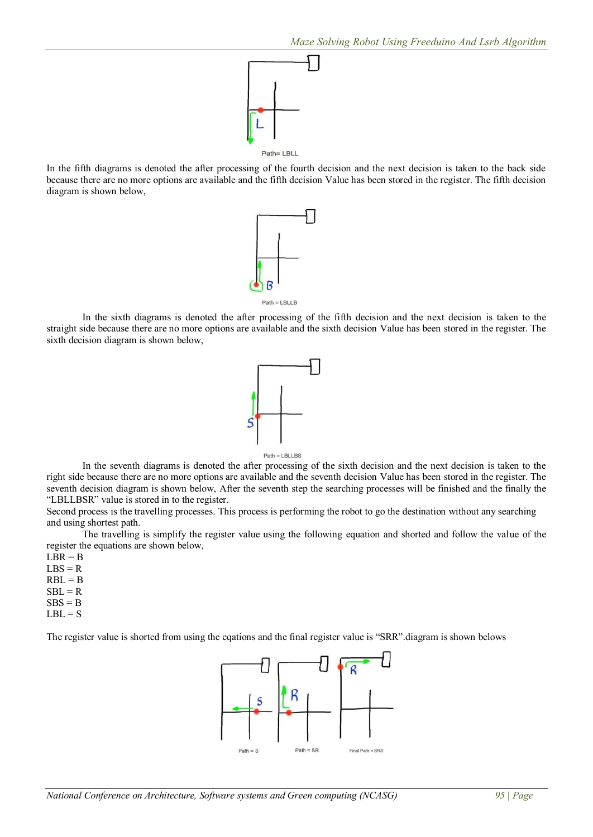

In the fifth diagrams is denoted the after processing of the fourth decision and the next decision is taken to the back side because there are no more options are available and the fifth decision Value has been stored in the register. The fifth decision diagram is shown below,



In the sixth diagrams is denoted the after processing of the fifth decision and the next decision is taken to the straight side because there are no more options are available and the sixth decision Value has been stored in the register. The sixth decision diagram is shown below,



In the seventh diagrams is denoted the after processing of the sixth decision and the next decision is taken to the right side because there are no more options are available and the seventh decision Value has been stored in the register. The seventh decision diagram is shown below, After the seventh step the searching processes will be finished and the finally the "LBLLBSR" value is stored in to the register.

Second process is the travelling processes. This process is performing the robot to go the destination without any searching and using shortest path.

The travelling is simplify the register value using the following equation and shorted and follow the value of the register the equations are shown below,

- $LBR = B$  $LBS = R$
- $RBL = B$
- $SBL = R$
- $SBS = B$
- $LBL = S$

The register value is shorted from using the eqations and the final register value is "SRR".diagram is shown belows

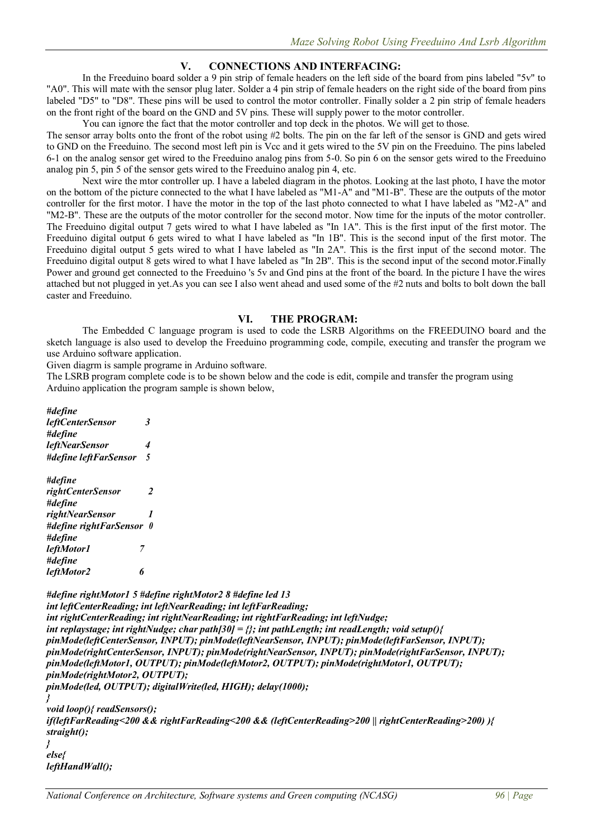## **V. CONNECTIONS AND INTERFACING:**

In the Freeduino board solder a 9 pin strip of female headers on the left side of the board from pins labeled "5v" to "A0". This will mate with the sensor plug later. Solder a 4 pin strip of female headers on the right side of the board from pins labeled "D5" to "D8". These pins will be used to control the motor controller. Finally solder a 2 pin strip of female headers on the front right of the board on the GND and 5V pins. These will supply power to the motor controller.

You can ignore the fact that the motor controller and top deck in the photos. We will get to those.

The sensor array bolts onto the front of the robot using #2 bolts. The pin on the far left of the sensor is GND and gets wired to GND on the Freeduino. The second most left pin is Vcc and it gets wired to the 5V pin on the Freeduino. The pins labeled 6-1 on the analog sensor get wired to the Freeduino analog pins from 5-0. So pin 6 on the sensor gets wired to the Freeduino analog pin 5, pin 5 of the sensor gets wired to the Freeduino analog pin 4, etc.

Next wire the mtor controller up. I have a labeled diagram in the photos. Looking at the last photo, I have the motor on the bottom of the picture connected to the what I have labeled as "M1-A" and "M1-B". These are the outputs of the motor controller for the first motor. I have the motor in the top of the last photo connected to what I have labeled as "M2-A" and "M2-B". These are the outputs of the motor controller for the second motor. Now time for the inputs of the motor controller. The Freeduino digital output 7 gets wired to what I have labeled as "In 1A". This is the first input of the first motor. The Freeduino digital output 6 gets wired to what I have labeled as "In 1B". This is the second input of the first motor. The Freeduino digital output 5 gets wired to what I have labeled as "In 2A". This is the first input of the second motor. The Freeduino digital output 8 gets wired to what I have labeled as "In 2B". This is the second input of the second motor.Finally Power and ground get connected to the Freeduino 's 5v and Gnd pins at the front of the board. In the picture I have the wires attached but not plugged in yet.As you can see I also went ahead and used some of the #2 nuts and bolts to bolt down the ball caster and Freeduino.

#### **VI. THE PROGRAM:**

The Embedded C language program is used to code the LSRB Algorithms on the FREEDUINO board and the sketch language is also used to develop the Freeduino programming code, compile, executing and transfer the program we use Arduino software application.

Given diagrm is sample programe in Arduino software.

The LSRB program complete code is to be shown below and the code is edit, compile and transfer the program using Arduino application the program sample is shown below,

*#define leftCenterSensor 3 #define leftNearSensor 4 #define leftFarSensor 5*

| #define                  |   |
|--------------------------|---|
| rightCenterSensor        | 2 |
| #define                  |   |
| rightNearSensor          | 1 |
| #define rightFarSensor 0 |   |
| #define                  |   |
| leftMotor1<br>7          |   |
| #define                  |   |
| leftMotor2<br>h          |   |

```
#define rightMotor1 5 #define rightMotor2 8 #define led 13
int leftCenterReading; int leftNearReading; int leftFarReading;
int rightCenterReading; int rightNearReading; int rightFarReading; int leftNudge;
int replaystage; int rightNudge; char path[30] = {}; int pathLength; int readLength; void setup(){
pinMode(leftCenterSensor, INPUT); pinMode(leftNearSensor, INPUT); pinMode(leftFarSensor, INPUT); 
pinMode(rightCenterSensor, INPUT); pinMode(rightNearSensor, INPUT); pinMode(rightFarSensor, INPUT); 
pinMode(leftMotor1, OUTPUT); pinMode(leftMotor2, OUTPUT); pinMode(rightMotor1, OUTPUT); 
pinMode(rightMotor2, OUTPUT);
pinMode(led, OUTPUT); digitalWrite(led, HIGH); delay(1000);
}
```
*void loop(){ readSensors(); if(leftFarReading<200 && rightFarReading<200 && (leftCenterReading>200 || rightCenterReading>200) ){ straight(); } else{ leftHandWall();*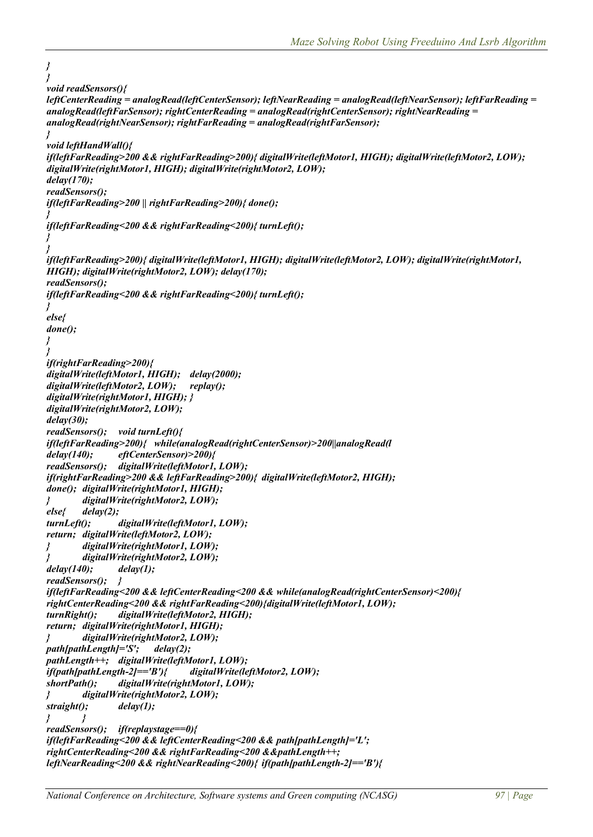```
}
}
void readSensors(){
leftCenterReading = analogRead(leftCenterSensor); leftNearReading = analogRead(leftNearSensor); leftFarReading =
analogRead(leftFarSensor); rightCenterReading = analogRead(rightCenterSensor); rightNearReading = 
analogRead(rightNearSensor); rightFarReading = analogRead(rightFarSensor);
}
void leftHandWall(){
if(leftFarReading>200 && rightFarReading>200){ digitalWrite(leftMotor1, HIGH); digitalWrite(leftMotor2, LOW); 
digitalWrite(rightMotor1, HIGH); digitalWrite(rightMotor2, LOW);
delay(170);
readSensors();
if(leftFarReading>200 || rightFarReading>200){ done();
}
if(leftFarReading<200 && rightFarReading<200){ turnLeft();
}
}
if(leftFarReading>200){ digitalWrite(leftMotor1, HIGH); digitalWrite(leftMotor2, LOW); digitalWrite(rightMotor1, 
HIGH); digitalWrite(rightMotor2, LOW); delay(170);
readSensors();
if(leftFarReading<200 && rightFarReading<200){ turnLeft();
}
else{
done();
}
}
if(rightFarReading>200){
digitalWrite(leftMotor1, HIGH); delay(2000);
digitalWrite(leftMotor2, LOW); replay();
digitalWrite(rightMotor1, HIGH); }
digitalWrite(rightMotor2, LOW);
delay(30);
readSensors(); void turnLeft(){
if(leftFarReading>200){ while(analogRead(rightCenterSensor)>200||analogRead(l
delay(140); eftCenterSensor)>200){
readSensors(); digitalWrite(leftMotor1, LOW);
if(rightFarReading>200 && leftFarReading>200){ digitalWrite(leftMotor2, HIGH);
done(); digitalWrite(rightMotor1, HIGH);
        } digitalWrite(rightMotor2, LOW);
else{ delay(2);
turnLeft(); digitalWrite(leftMotor1, LOW);
return; digitalWrite(leftMotor2, LOW);
        } digitalWrite(rightMotor1, LOW);
        } digitalWrite(rightMotor2, LOW);
delay(140); delay(1);
readSensors(); }
if(leftFarReading<200 && leftCenterReading<200 && while(analogRead(rightCenterSensor)<200){
rightCenterReading<200 && rightFarReading<200){digitalWrite(leftMotor1, LOW);
turnRight(); digitalWrite(leftMotor2, HIGH);
return; digitalWrite(rightMotor1, HIGH);
        } digitalWrite(rightMotor2, LOW);
path[pathLength]='S'; delay(2);
pathLength++; digitalWrite(leftMotor1, LOW);
if(path[pathLength-2]=='B'){ digitalWrite(leftMotor2, LOW);
shortPath(); digitalWrite(rightMotor1, LOW);
} digitalWrite(rightMotor2, LOW);
straight(); delay(1);
} }
readSensors(); if(replaystage==0){
if(leftFarReading<200 && leftCenterReading<200 && path[pathLength]='L';
rightCenterReading<200 && rightFarReading<200 &&pathLength++;
leftNearReading<200 && rightNearReading<200){ if(path[pathLength-2]=='B'){
```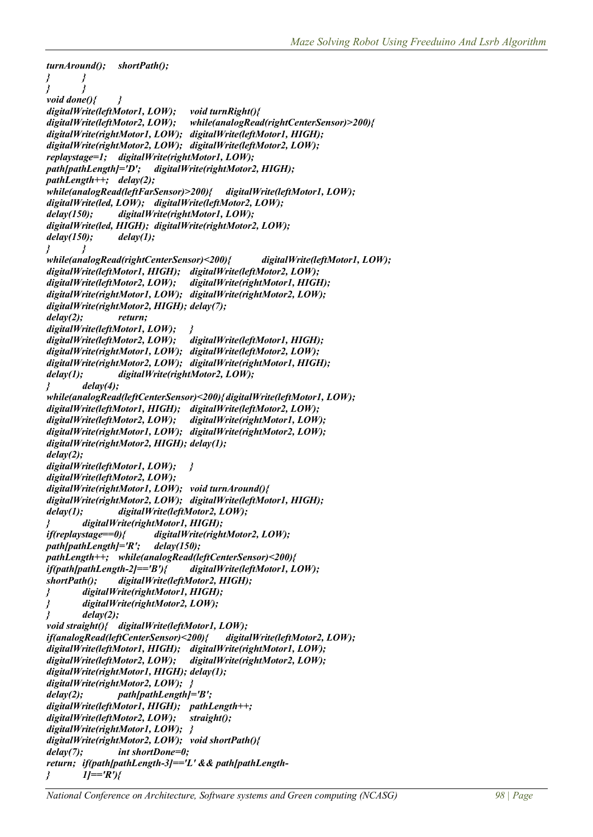```
turnAround(); shortPath();
       } }
} }
void done(){ }
digitalWrite(leftMotor1, LOW); void turnRight(){
digitalWrite(leftMotor2, LOW); while(analogRead(rightCenterSensor)>200){
digitalWrite(rightMotor1, LOW); digitalWrite(leftMotor1, HIGH);
digitalWrite(rightMotor2, LOW); digitalWrite(leftMotor2, LOW);
replaystage=1; digitalWrite(rightMotor1, LOW);
                       digitalWrite(rightMotor2, HIGH);pathLength++; delay(2);
while(analogRead(leftFarSensor)>200){ digitalWrite(leftMotor1, LOW);
digitalWrite(led, LOW); digitalWrite(leftMotor2, LOW);
delay(150); digitalWrite(rightMotor1, LOW);
digitalWrite(led, HIGH); digitalWrite(rightMotor2, LOW);
delay(150); delay(1);
} }
while(analogRead(rightCenterSensor)<200){ digitalWrite(leftMotor1, LOW);
digitalWrite(leftMotor1, HIGH); digitalWrite(leftMotor2, LOW);
digitalWrite(leftMotor2, LOW); digitalWrite(rightMotor1, HIGH);
digitalWrite(rightMotor1, LOW); digitalWrite(rightMotor2, LOW);
digitalWrite(rightMotor2, HIGH); delay(7);
delay(2); return;
digitalWrite(leftMotor1, LOW); }
digitalWrite(leftMotor2, LOW); digitalWrite(leftMotor1, HIGH);
digitalWrite(rightMotor1, LOW); digitalWrite(leftMotor2, LOW);
digitalWrite(rightMotor2, LOW); digitalWrite(rightMotor1, HIGH);
delay(1); digitalWrite(rightMotor2, LOW);
} delay(4);
while(analogRead(leftCenterSensor)<200){ digitalWrite(leftMotor1, LOW);
digitalWrite(leftMotor1, HIGH); digitalWrite(leftMotor2, LOW);
digitalWrite(leftMotor2, LOW); digitalWrite(rightMotor1, LOW);
digitalWrite(rightMotor1, LOW); digitalWrite(rightMotor2, LOW);
digitalWrite(rightMotor2, HIGH); delay(1);
delay(2);
digitalWrite(leftMotor1, LOW); }
digitalWrite(leftMotor2, LOW);
digitalWrite(rightMotor1, LOW); void turnAround(){
digitalWrite(rightMotor2, LOW); digitalWrite(leftMotor1, HIGH);
delay(1); digitalWrite(leftMotor2, LOW);
        } digitalWrite(rightMotor1, HIGH);
if(replaystage==0){ digitalWrite(rightMotor2, LOW);
path[pathLength]='R'; delay(150);
pathLength++; while(analogRead(leftCenterSensor)<200){
if(path[pathLength-2]=='B'){ digitalWrite(leftMotor1, LOW);
shortPath(); digitalWrite(leftMotor2, HIGH);
        } digitalWrite(rightMotor1, HIGH);
} digitalWrite(rightMotor2, LOW);
} delay(2);
void straight(){ digitalWrite(leftMotor1, LOW);
if(analogRead(leftCenterSensor)<200){ digitalWrite(leftMotor2, LOW);
digitalWrite(leftMotor1, HIGH); digitalWrite(rightMotor1, LOW);
digitalWrite(leftMotor2, LOW); digitalWrite(rightMotor2, LOW);
digitalWrite(rightMotor1, HIGH); delay(1);
digitalWrite(rightMotor2, LOW); }
delay(2); path[pathLength]='B';
digitalWrite(leftMotor1, HIGH); pathLength++;
digitalWrite(leftMotor2, LOW); straight();
digitalWrite(rightMotor1, LOW); }
digitalWrite(rightMotor2, LOW); void shortPath(){
delay(7); int shortDone=0;
return; if(path[pathLength-3]=='L' && path[pathLength-
        } 1]=='R'){
```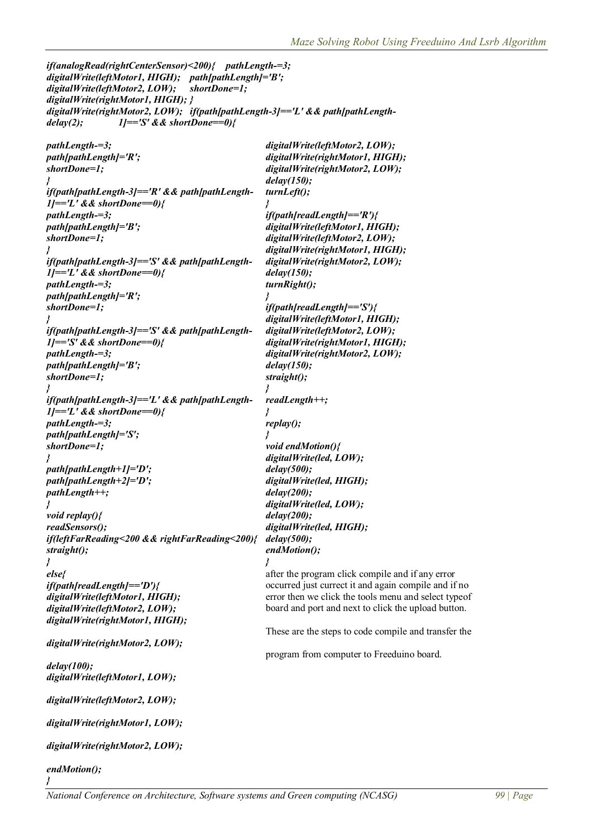```
if(analogRead(rightCenterSensor)<200){ pathLength-=3;
digitalWrite(leftMotor1, HIGH); path[pathLength]='B';
digitalWrite(leftMotor2, LOW); shortDone=1;
digitalWrite(rightMotor1, HIGH); }
digitalWrite(rightMotor2, LOW); if(path[pathLength-3]=='L' && path[pathLength-
delay(2); 1]=='S' && shortDone==0){
pathLength-=3; digitalWrite(leftMotor2, LOW);
path[pathLength]='R'; digitalWrite(rightMotor1, HIGH);
shortDone=1; digitalWrite(rightMotor2, LOW);
                                   } delay(150);
if(path[pathLength-3]=='R' && path[pathLength- turnLeft();
1]=='L' && shortDone==0){ }
pathLength-=3; if(path[readLength]=='R'){
path[pathLength]='B'; digitalWrite(leftMotor1, HIGH);
shortDone=1; digitalWrite(leftMotor2, LOW);
                                   } digitalWrite(rightMotor1, HIGH);
if(path[pathLength-3]=='S' && path[pathLength- digitalWrite(rightMotor2, LOW);
1]=='L' && shortDone==0){ delay(150);
pathLength-=3; turnRight();
path[pathLength]='R'; }
shortDone=1; if(path[readLength]=='S'){
} digitalWrite(leftMotor1, HIGH);
if(path[pathLength-3]=='S' && path[pathLength- digitalWrite(leftMotor2, LOW);
1]=='S' && shortDone==0){ digitalWrite(rightMotor1, HIGH);
pathLength-=3; digitalWrite(rightMotor2, LOW);
path[pathLength]='B'; delay(150);
shortDone=1; straight();
} }
if(path[pathLength-3]=='L' && path[pathLength- readLength++;
1]=='L' && shortDone==0){ }
pathLength-=3; replay();
path[pathLength]='S'; }
shortDone=1; void endMotion(){
                                   } digitalWrite(led, LOW);
path[pathLength+1]='D'; delay(500);
path[pathLength+2]='D'; digitalWrite(led, HIGH);
pathLength++; delay(200);
                                   } digitalWrite(led, LOW);
void replay(){ delay(200);
readSensors(); digitalWrite(led, HIGH);
if(leftFarReading<200 && rightFarReading<200){ delay(500);
straight(); endMotion();
} }
else{ after the program click compile and if any error
if(path[readLength]=='D'){ occurred just currect it and again compile and if no
digitalWrite(leftMotor1, HIGH); error then we click the tools menu and select typeof
digitalWrite(leftMotor2, LOW); board and port and next to click the upload button.
digitalWrite(rightMotor1, HIGH);
                                   These are the steps to code compile and transfer the
digitalWrite(rightMotor2, LOW);
                                   program from computer to Freeduino board.
delay(100);
digitalWrite(leftMotor1, LOW);
digitalWrite(leftMotor2, LOW);
digitalWrite(rightMotor1, LOW);
digitalWrite(rightMotor2, LOW);
endMotion();
}
```